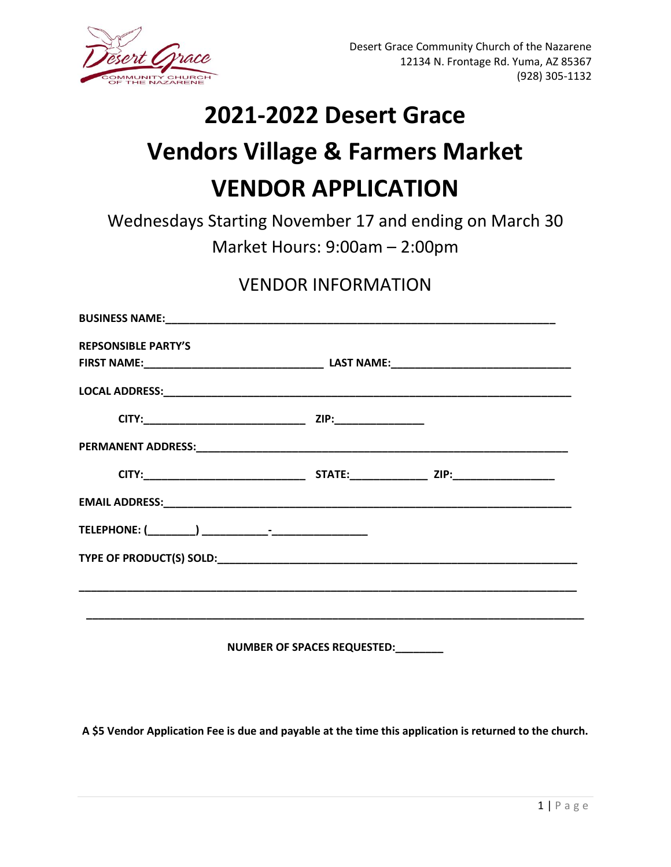

## **2021-2022 Desert Grace**

## **Vendors Village & Farmers Market VENDOR APPLICATION**

Wednesdays Starting November 17 and ending on March 30 Market Hours: 9:00am – 2:00pm

## VENDOR INFORMATION

| <b>REPSONSIBLE PARTY'S</b>           |  |  |
|--------------------------------------|--|--|
|                                      |  |  |
|                                      |  |  |
|                                      |  |  |
|                                      |  |  |
|                                      |  |  |
|                                      |  |  |
|                                      |  |  |
|                                      |  |  |
|                                      |  |  |
|                                      |  |  |
| NUMBER OF SPACES REQUESTED:_________ |  |  |

**A \$5 Vendor Application Fee is due and payable at the time this application is returned to the church.**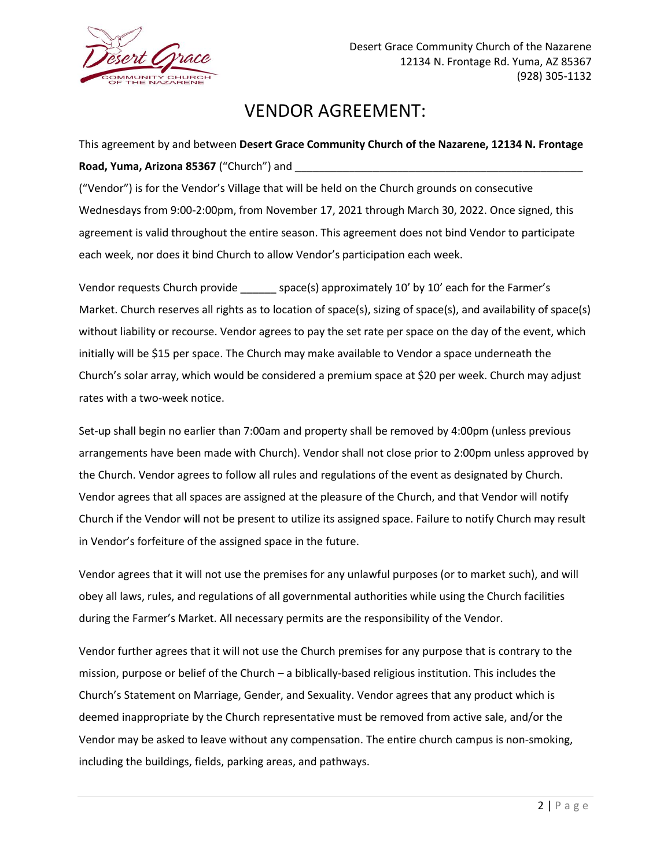

## VENDOR AGREEMENT:

This agreement by and between **Desert Grace Community Church of the Nazarene, 12134 N. Frontage Road, Yuma, Arizona 85367** ("Church") and

("Vendor") is for the Vendor's Village that will be held on the Church grounds on consecutive Wednesdays from 9:00-2:00pm, from November 17, 2021 through March 30, 2022. Once signed, this agreement is valid throughout the entire season. This agreement does not bind Vendor to participate each week, nor does it bind Church to allow Vendor's participation each week.

Vendor requests Church provide \_\_\_\_\_\_\_ space(s) approximately 10' by 10' each for the Farmer's Market. Church reserves all rights as to location of space(s), sizing of space(s), and availability of space(s) without liability or recourse. Vendor agrees to pay the set rate per space on the day of the event, which initially will be \$15 per space. The Church may make available to Vendor a space underneath the Church's solar array, which would be considered a premium space at \$20 per week. Church may adjust rates with a two-week notice.

Set-up shall begin no earlier than 7:00am and property shall be removed by 4:00pm (unless previous arrangements have been made with Church). Vendor shall not close prior to 2:00pm unless approved by the Church. Vendor agrees to follow all rules and regulations of the event as designated by Church. Vendor agrees that all spaces are assigned at the pleasure of the Church, and that Vendor will notify Church if the Vendor will not be present to utilize its assigned space. Failure to notify Church may result in Vendor's forfeiture of the assigned space in the future.

Vendor agrees that it will not use the premises for any unlawful purposes (or to market such), and will obey all laws, rules, and regulations of all governmental authorities while using the Church facilities during the Farmer's Market. All necessary permits are the responsibility of the Vendor.

Vendor further agrees that it will not use the Church premises for any purpose that is contrary to the mission, purpose or belief of the Church – a biblically-based religious institution. This includes the Church's Statement on Marriage, Gender, and Sexuality. Vendor agrees that any product which is deemed inappropriate by the Church representative must be removed from active sale, and/or the Vendor may be asked to leave without any compensation. The entire church campus is non-smoking, including the buildings, fields, parking areas, and pathways.